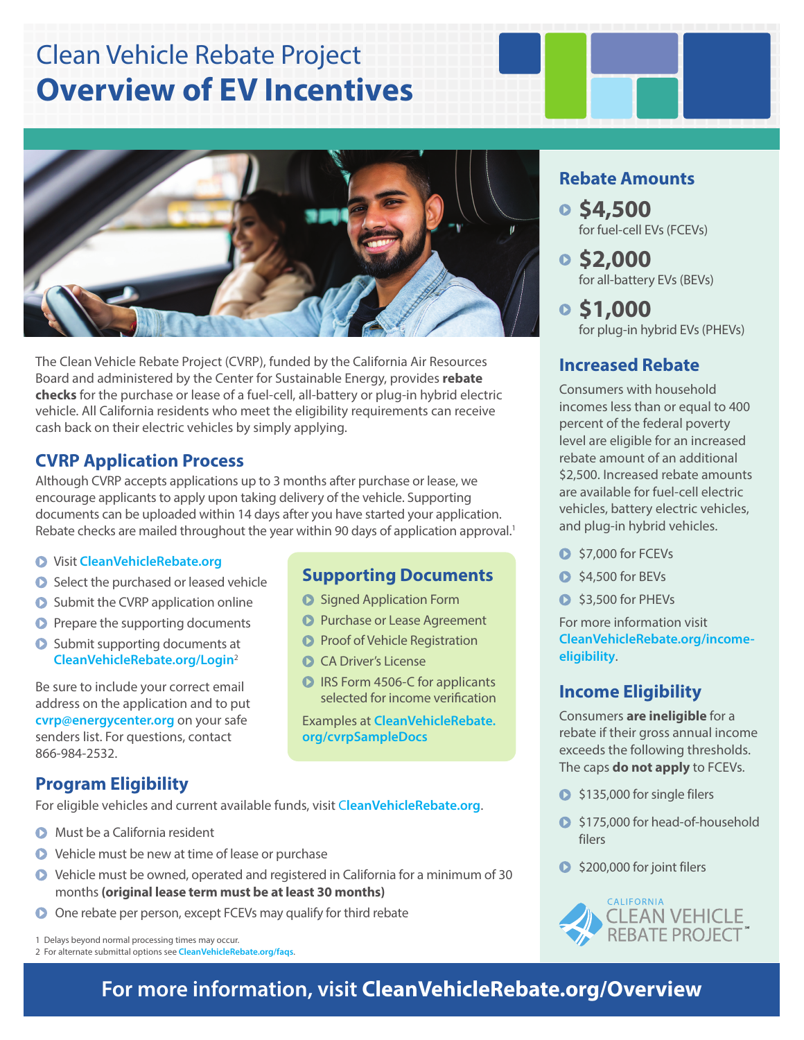# Clean Vehicle Rebate Project **Overview of EV Incentives**



The Clean Vehicle Rebate Project (CVRP), funded by the California Air Resources Board and administered by the Center for Sustainable Energy, provides **rebate checks** for the purchase or lease of a fuel-cell, all-battery or plug-in hybrid electric vehicle. All California residents who meet the eligibility requirements can receive cash back on their electric vehicles by simply applying.

### **CVRP Application Process**

Although CVRP accepts applications up to 3 months after purchase or lease, we encourage applicants to apply upon taking delivery of the vehicle. Supporting documents can be uploaded within 14 days after you have started your application. Rebate checks are mailed throughout the year within 90 days of application approval.<sup>1</sup>

#### Visit **[CleanVehicleRebate.org](http://www.cleanvehiclerebate.org)**

- Select the purchased or leased vehicle
- **O** Submit the CVRP application online
- **P** Prepare the supporting documents
- **O** Submit supporting documents at **[CleanVehicleRebate.org/Login](http://www.cleanvehiclerebate.org/login)**<sup>2</sup>

Be sure to include your correct email address on the application and to put **cvr[p@energycenter.org](mailto:CVRP%40energycenter.org?subject=)** on your safe senders list. For questions, contact 866-984-2532.

### **Program Eligibility**

For eligible vehicles and current available funds, visit C**[leanVehicleRebate.org](http://www.cleanvehiclerebate.org)**.

- **O** Must be a California resident
- Vehicle must be new at time of lease or purchase
- Vehicle must be owned, operated and registered in California for a minimum of 30 months **(original lease term must be at least 30 months)**
- One rebate per person, except FCEVs may qualify for third rebate

1 Delays beyond normal processing times may occur.

2 For alternate submittal options see **[CleanVehicleRebate.org/faqs](http://www.cleanvehiclerebate.org/faqs)**.

### **Supporting Documents**

- **O** Signed Application Form
- **Purchase or Lease Agreement**
- **Proof of Vehicle Registration**
- CA Driver's License
- **D** IRS Form 4506-C for applicants selected for income verification

Examples at **[CleanVehicleRebate.](http://www.cleanvehiclerebate.org/cvrpSampleDocs) [org/cvrpSampleDocs](http://www.cleanvehiclerebate.org/cvrpSampleDocs)**

### **Rebate Amounts**

- **\$4,500** for fuel-cell EVs (FCEVs)
- **\$2,000** for all-battery EVs (BEVs)
- **\$1,000** for plug-in hybrid EVs (PHEVs)

### **Increased Rebate**

Consumers with household incomes less than or equal to 400 percent of the federal poverty level are eligible for an increased rebate amount of an additional \$2,500. Increased rebate amounts are available for fuel-cell electric vehicles, battery electric vehicles, and plug-in hybrid vehicles.

- $S$ 7,000 for FCEVs
- $\bigcirc$  \$4,500 for BEVs
- **3**,500 for PHEVs

For more information visit **[CleanVehicleRebate.org/income](http://CleanVehicleRebate.org/income-eligibility)[eligibility](http://CleanVehicleRebate.org/income-eligibility)**.

### **Income Eligibility**

Consumers **are ineligible** for a rebate if their gross annual income exceeds the following thresholds. The caps **do not apply** to FCEVs.

- S135,000 for single filers
- S175,000 for head-of-household filers
- $\bullet$  \$200,000 for joint filers



## **For more information, visit C[leanVehicleRebate.org/](http://www.cleanvehiclerebate.org/overview)Overview**